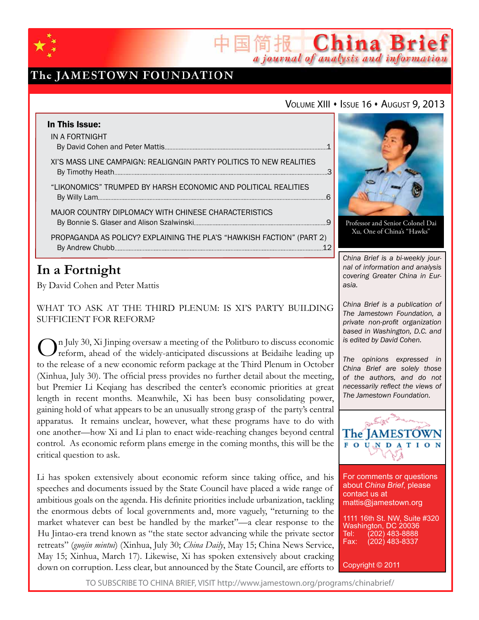

# The JAMESTOWN FOUNDATION

### VOLUME XIII · ISSUE 16 · AUGUST 9, 2013

简报 China Brief

a journal of analysis and information

| In This Issue:                                                        |  |
|-----------------------------------------------------------------------|--|
| IN A FORTNIGHT                                                        |  |
| XI'S MASS LINE CAMPAIGN: REALIGNGIN PARTY POLITICS TO NEW REALITIES   |  |
| "LIKONOMICS" TRUMPED BY HARSH ECONOMIC AND POLITICAL REALITIES        |  |
| MAJOR COUNTRY DIPLOMACY WITH CHINESE CHARACTERISTICS                  |  |
| PROPAGANDA AS POLICY? EXPLAINING THE PLA'S "HAWKISH FACTION" (PART 2) |  |

## **In a Fortnight**

By David Cohen and Peter Mattis

What to Ask at the Third Plenum: Is Xi's Party Building Sufficient for Reform?

In July 30,  $X_i$  Jinping oversaw a meeting of the Politburo to discuss economic reform, ahead of the widely-anticipated discussions at Beidaihe leading up to the release of a new economic reform package at the Third Plenum in October (Xinhua, July 30). The official press provides no further detail about the meeting, but Premier Li Keqiang has described the center's economic priorities at great length in recent months. Meanwhile, Xi has been busy consolidating power, gaining hold of what appears to be an unusually strong grasp of the party's central apparatus. It remains unclear, however, what these programs have to do with one another—how Xi and Li plan to enact wide-reaching changes beyond central control. As economic reform plans emerge in the coming months, this will be the critical question to ask.

Li has spoken extensively about economic reform since taking office, and his speeches and documents issued by the State Council have placed a wide range of ambitious goals on the agenda. His definite priorities include urbanization, tackling the enormous debts of local governments and, more vaguely, "returning to the market whatever can best be handled by the market"—a clear response to the Hu Jintao-era trend known as "the state sector advancing while the private sector retreats" (*guojin mintui*) (Xinhua, July 30; *China Daily*, May 15; China News Service, May 15; Xinhua, March 17). Likewise, Xi has spoken extensively about cracking down on corruption. Less clear, but announced by the State Council, are efforts to



Professor and Senior Colonel Dai Xu, One of China's "Hawks"

*China Brief is a bi-weekly journal of information and analysis covering Greater China in Eurasia.* 

*China Brief is a publication of The Jamestown Foundation, a private non-profit organization based in Washington, D.C. and is edited by David Cohen.*

*The opinions expressed in China Brief are solely those of the authors, and do not necessarily reflect the views of The Jamestown Foundation.*



For comments or questions about *China Brief*, please contact us at mattis@jamestown.org

1111 16th St. NW, Suite #320 Washington, DC 20036<br>Tel: (202) 483-8888 Tel: (202) 483-8888<br>Fax: (202) 483-8337 (202) 483-8337

Copyright © 2011

TO SUBSCRIBE TO CHINA BRIEF, VISIT http://www.jamestown.org/programs/chinabrief/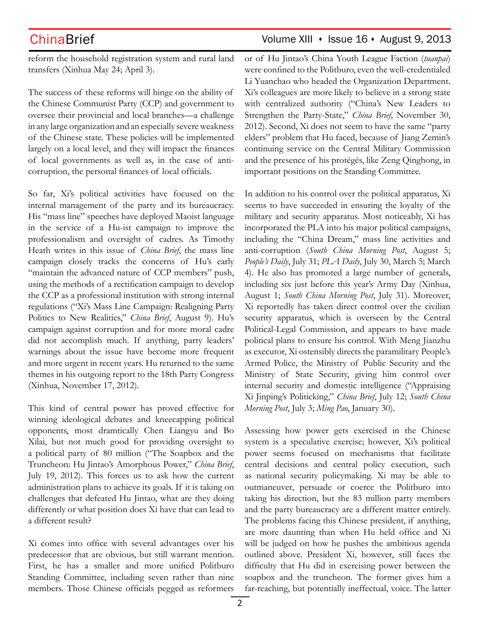## ChinaBrief Volume XIII • Issue 16 • August 9, 2013

reform the household registration system and rural land transfers (Xinhua May 24; April 3).

The success of these reforms will hinge on the ability of the Chinese Communist Party (CCP) and government to oversee their provincial and local branches—a challenge in any large organization and an especially severe weakness of the Chinese state. These policies will be implemented largely on a local level, and they will impact the finances of local governments as well as, in the case of anticorruption, the personal finances of local officials.

So far, Xi's political activities have focused on the internal management of the party and its bureaucracy. His "mass line" speeches have deployed Maoist language in the service of a Hu-ist campaign to improve the professionalism and oversight of cadres. As Timothy Heath writes in this issue of *China Brief*, the mass line campaign closely tracks the concerns of Hu's early "maintain the advanced nature of CCP members" push, using the methods of a rectification campaign to develop the CCP as a professional institution with strong internal regulations ("Xi's Mass Line Campaign: Realigning Party Politics to New Realities," *China Brief*, August 9). Hu's campaign against corruption and for more moral cadre did not accomplish much. If anything, party leaders' warnings about the issue have become more frequent and more urgent in recent years. Hu returned to the same themes in his outgoing report to the 18th Party Congress (Xinhua, November 17, 2012).

This kind of central power has proved effective for winning ideological debates and kneecapping political opponents, most dramtically Chen Liangyu and Bo Xilai, but not much good for providing oversight to a political party of 80 million ("The Soapbox and the Truncheon: Hu Jintao's Amorphous Power," *China Brief*, July 19, 2012). This forces us to ask how the current administration plans to achieve its goals. If it is taking on challenges that defeated Hu Jintao, what are they doing differently or what position does Xi have that can lead to a different result?

Xi comes into office with several advantages over his predecessor that are obvious, but still warrant mention. First, he has a smaller and more unified Politburo Standing Committee, including seven rather than nine members. Those Chinese officials pegged as reformers or of Hu Jintao's China Youth League Faction (*tuanpai*) were confined to the Politburo, even the well-credentialed Li Yuanchao who headed the Organization Department. Xi's colleagues are more likely to believe in a strong state with centralized authority ("China's New Leaders to Strengthen the Party-State," *China Brief*, November 30, 2012). Second, Xi does not seem to have the same "party elders" problem that Hu faced, because of Jiang Zemin's continuing service on the Central Military Commission and the presence of his protégés, like Zeng Qinghong, in important positions on the Standing Committee.

In addition to his control over the political apparatus, Xi seems to have succeeded in ensuring the loyalty of the military and security apparatus. Most noticeably, Xi has incorporated the PLA into his major political campaigns, including the "China Dream," mass line activities and anti-corruption (*South China Morning Post*, August 5; *People's Daily*, July 31; *PLA Daily*, July 30, March 5; March 4). He also has promoted a large number of generals, including six just before this year's Army Day (Xinhua, August 1; *South China Morning Post*, July 31). Moreover, Xi reportedly has taken direct control over the civilian security apparatus, which is overseen by the Central Political-Legal Commission, and appears to have made political plans to ensure his control. With Meng Jianzhu as executor, Xi ostensibly directs the paramilitary People's Armed Police, the Ministry of Public Security and the Ministry of State Security, giving him control over internal security and domestic intelligence ("Appraising Xi Jinping's Politicking," *China Brief*, July 12; *South China Morning Post*, July 3; *Ming Pao*, January 30).

Assessing how power gets exercised in the Chinese system is a speculative exercise; however, Xi's political power seems focused on mechanisms that facilitate central decisions and central policy execution, such as national security policymaking. Xi may be able to outmaneuver, persuade or coerce the Politburo into taking his direction, but the 83 million party members and the party bureaucracy are a different matter entirely. The problems facing this Chinese president, if anything, are more daunting than when Hu held office and Xi will be judged on how he pushes the ambitious agenda outlined above. President Xi, however, still faces the difficulty that Hu did in exercising power between the soapbox and the truncheon. The former gives him a far-reaching, but potentially ineffectual, voice. The latter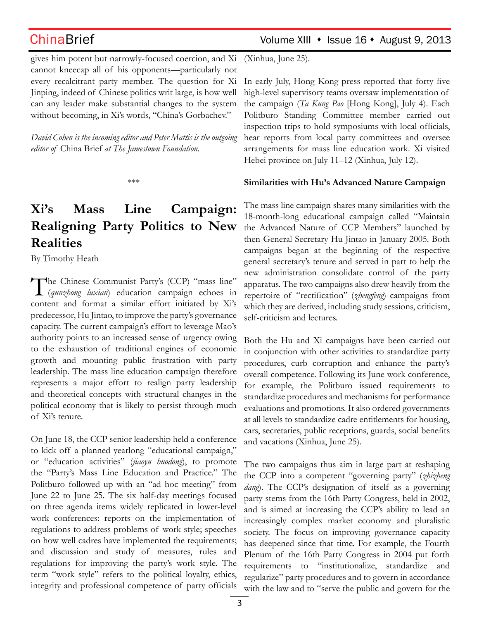gives him potent but narrowly-focused coercion, and Xi cannot kneecap all of his opponents—particularly not every recalcitrant party member. The question for Xi Jinping, indeed of Chinese politics writ large, is how well can any leader make substantial changes to the system without becoming, in Xi's words, "China's Gorbachev."

*David Cohen is the incoming editor and Peter Mattis is the outgoing editor of* China Brief *at The Jamestown Foundation.*

\*\*\*

# **Xi's Mass Line Campaign: Realigning Party Politics to New Realities**

By Timothy Heath

The Chinese Communist Party's (CCP) "mass line" (*qunzhong luxian*) education campaign echoes in content and format a similar effort initiated by Xi's predecessor, Hu Jintao, to improve the party's governance capacity. The current campaign's effort to leverage Mao's authority points to an increased sense of urgency owing to the exhaustion of traditional engines of economic growth and mounting public frustration with party leadership. The mass line education campaign therefore represents a major effort to realign party leadership and theoretical concepts with structural changes in the political economy that is likely to persist through much of Xi's tenure.

On June 18, the CCP senior leadership held a conference to kick off a planned yearlong "educational campaign," or "education activities" (*jiaoyu huodong*), to promote the "Party's Mass Line Education and Practice." The Politburo followed up with an "ad hoc meeting" from June 22 to June 25. The six half-day meetings focused on three agenda items widely replicated in lower-level work conferences: reports on the implementation of regulations to address problems of work style; speeches on how well cadres have implemented the requirements; and discussion and study of measures, rules and regulations for improving the party's work style. The term "work style" refers to the political loyalty, ethics, integrity and professional competence of party officials

ChinaBrief Volume XIII • Issue 16 • August 9, 2013

(Xinhua, June 25).

In early July, Hong Kong press reported that forty five high-level supervisory teams oversaw implementation of the campaign (*Ta Kung Pao* [Hong Kong], July 4). Each Politburo Standing Committee member carried out inspection trips to hold symposiums with local officials, hear reports from local party committees and oversee arrangements for mass line education work. Xi visited Hebei province on July 11–12 (Xinhua, July 12).

### **Similarities with Hu's Advanced Nature Campaign**

The mass line campaign shares many similarities with the 18-month-long educational campaign called "Maintain the Advanced Nature of CCP Members" launched by then-General Secretary Hu Jintao in January 2005. Both campaigns began at the beginning of the respective general secretary's tenure and served in part to help the new administration consolidate control of the party apparatus. The two campaigns also drew heavily from the repertoire of "rectification" (*zhengfeng*) campaigns from which they are derived, including study sessions, criticism, self-criticism and lectures.

Both the Hu and Xi campaigns have been carried out in conjunction with other activities to standardize party procedures, curb corruption and enhance the party's overall competence. Following its June work conference, for example, the Politburo issued requirements to standardize procedures and mechanisms for performance evaluations and promotions. It also ordered governments at all levels to standardize cadre entitlements for housing, cars, secretaries, public receptions, guards, social benefits and vacations (Xinhua, June 25).

The two campaigns thus aim in large part at reshaping the CCP into a competent "governing party" (*zhizheng dang*). The CCP's designation of itself as a governing party stems from the 16th Party Congress, held in 2002, and is aimed at increasing the CCP's ability to lead an increasingly complex market economy and pluralistic society. The focus on improving governance capacity has deepened since that time. For example, the Fourth Plenum of the 16th Party Congress in 2004 put forth requirements to "institutionalize, standardize and regularize" party procedures and to govern in accordance with the law and to "serve the public and govern for the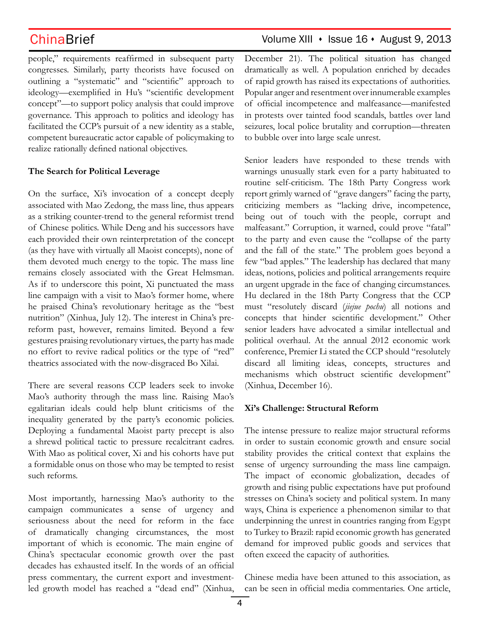people," requirements reaffirmed in subsequent party congresses. Similarly, party theorists have focused on outlining a "systematic" and "scientific" approach to ideology—exemplified in Hu's "scientific development concept"—to support policy analysis that could improve governance. This approach to politics and ideology has facilitated the CCP's pursuit of a new identity as a stable, competent bureaucratic actor capable of policymaking to realize rationally defined national objectives.

### **The Search for Political Leverage**

On the surface, Xi's invocation of a concept deeply associated with Mao Zedong, the mass line, thus appears as a striking counter-trend to the general reformist trend of Chinese politics. While Deng and his successors have each provided their own reinterpretation of the concept (as they have with virtually all Maoist concepts), none of them devoted much energy to the topic. The mass line remains closely associated with the Great Helmsman. As if to underscore this point, Xi punctuated the mass line campaign with a visit to Mao's former home, where he praised China's revolutionary heritage as the "best nutrition" (Xinhua, July 12). The interest in China's prereform past, however, remains limited. Beyond a few gestures praising revolutionary virtues, the party has made no effort to revive radical politics or the type of "red" theatrics associated with the now-disgraced Bo Xilai.

There are several reasons CCP leaders seek to invoke Mao's authority through the mass line. Raising Mao's egalitarian ideals could help blunt criticisms of the inequality generated by the party's economic policies. Deploying a fundamental Maoist party precept is also a shrewd political tactic to pressure recalcitrant cadres. With Mao as political cover, Xi and his cohorts have put a formidable onus on those who may be tempted to resist such reforms.

Most importantly, harnessing Mao's authority to the campaign communicates a sense of urgency and seriousness about the need for reform in the face of dramatically changing circumstances, the most important of which is economic. The main engine of China's spectacular economic growth over the past decades has exhausted itself. In the words of an official press commentary, the current export and investmentled growth model has reached a "dead end" (Xinhua,

### ChinaBrief Volume XIII • Issue 16 • August 9, 2013

December 21). The political situation has changed dramatically as well. A population enriched by decades of rapid growth has raised its expectations of authorities. Popular anger and resentment over innumerable examples of official incompetence and malfeasance—manifested in protests over tainted food scandals, battles over land seizures, local police brutality and corruption—threaten to bubble over into large scale unrest.

Senior leaders have responded to these trends with warnings unusually stark even for a party habituated to routine self-criticism. The 18th Party Congress work report grimly warned of "grave dangers" facing the party, criticizing members as "lacking drive, incompetence, being out of touch with the people, corrupt and malfeasant." Corruption, it warned, could prove "fatal" to the party and even cause the "collapse of the party and the fall of the state." The problem goes beyond a few "bad apples." The leadership has declared that many ideas, notions, policies and political arrangements require an urgent upgrade in the face of changing circumstances. Hu declared in the 18th Party Congress that the CCP must "resolutely discard (*jiejue pochu*) all notions and concepts that hinder scientific development." Other senior leaders have advocated a similar intellectual and political overhaul. At the annual 2012 economic work conference, Premier Li stated the CCP should "resolutely discard all limiting ideas, concepts, structures and mechanisms which obstruct scientific development" (Xinhua, December 16).

### **Xi's Challenge: Structural Reform**

The intense pressure to realize major structural reforms in order to sustain economic growth and ensure social stability provides the critical context that explains the sense of urgency surrounding the mass line campaign. The impact of economic globalization, decades of growth and rising public expectations have put profound stresses on China's society and political system. In many ways, China is experience a phenomenon similar to that underpinning the unrest in countries ranging from Egypt to Turkey to Brazil: rapid economic growth has generated demand for improved public goods and services that often exceed the capacity of authorities.

Chinese media have been attuned to this association, as can be seen in official media commentaries. One article,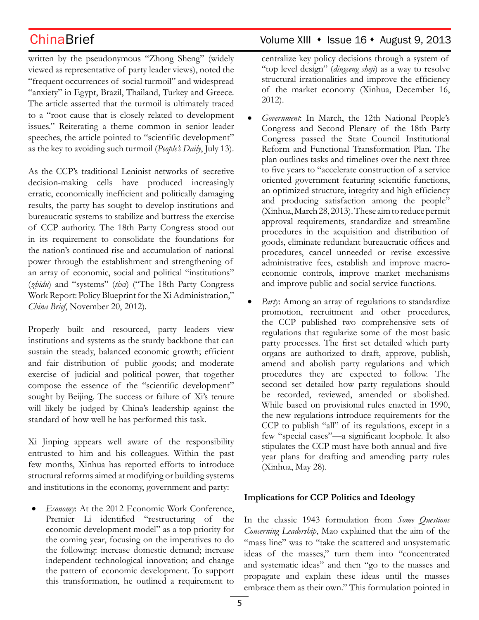written by the pseudonymous "Zhong Sheng" (widely viewed as representative of party leader views), noted the "frequent occurrences of social turmoil" and widespread "anxiety" in Egypt, Brazil, Thailand, Turkey and Greece. The article asserted that the turmoil is ultimately traced to a "root cause that is closely related to development issues." Reiterating a theme common in senior leader speeches, the article pointed to "scientific development" as the key to avoiding such turmoil (*People's Daily*, July 13).

As the CCP's traditional Leninist networks of secretive decision-making cells have produced increasingly erratic, economically inefficient and politically damaging results, the party has sought to develop institutions and bureaucratic systems to stabilize and buttress the exercise of CCP authority. The 18th Party Congress stood out in its requirement to consolidate the foundations for the nation's continued rise and accumulation of national power through the establishment and strengthening of an array of economic, social and political "institutions" (*zhidu*) and "systems" (*tixi*) ("The 18th Party Congress Work Report: Policy Blueprint for the Xi Administration," *China Brief*, November 20, 2012).

Properly built and resourced, party leaders view institutions and systems as the sturdy backbone that can sustain the steady, balanced economic growth; efficient and fair distribution of public goods; and moderate exercise of judicial and political power, that together compose the essence of the "scientific development" sought by Beijing. The success or failure of Xi's tenure will likely be judged by China's leadership against the standard of how well he has performed this task.

Xi Jinping appears well aware of the responsibility entrusted to him and his colleagues. Within the past few months, Xinhua has reported efforts to introduce structural reforms aimed at modifying or building systems and institutions in the economy, government and party:

• *Economy*: At the 2012 Economic Work Conference, Premier Li identified "restructuring of the economic development model" as a top priority for the coming year, focusing on the imperatives to do the following: increase domestic demand; increase independent technological innovation; and change the pattern of economic development. To support this transformation, he outlined a requirement to

## ChinaBrief Volume XIII • Issue 16 • August 9, 2013

centralize key policy decisions through a system of "top level design" (*dingceng sheji*) as a way to resolve structural irrationalities and improve the efficiency of the market economy (Xinhua, December 16, 2012).

- Government: In March, the 12th National People's Congress and Second Plenary of the 18th Party Congress passed the State Council Institutional Reform and Functional Transformation Plan. The plan outlines tasks and timelines over the next three to five years to "accelerate construction of a service oriented government featuring scientific functions, an optimized structure, integrity and high efficiency and producing satisfaction among the people" (Xinhua, March 28, 2013). These aim to reduce permit approval requirements, standardize and streamline procedures in the acquisition and distribution of goods, eliminate redundant bureaucratic offices and procedures, cancel unneeded or revise excessive administrative fees, establish and improve macroeconomic controls, improve market mechanisms and improve public and social service functions.
- Party: Among an array of regulations to standardize promotion, recruitment and other procedures, the CCP published two comprehensive sets of regulations that regularize some of the most basic party processes. The first set detailed which party organs are authorized to draft, approve, publish, amend and abolish party regulations and which procedures they are expected to follow. The second set detailed how party regulations should be recorded, reviewed, amended or abolished. While based on provisional rules enacted in 1990, the new regulations introduce requirements for the CCP to publish "all" of its regulations, except in a few "special cases"—a significant loophole. It also stipulates the CCP must have both annual and fiveyear plans for drafting and amending party rules (Xinhua, May 28).

### **Implications for CCP Politics and Ideology**

In the classic 1943 formulation from *Some Questions Concerning Leadership*, Mao explained that the aim of the "mass line" was to "take the scattered and unsystematic ideas of the masses," turn them into "concentrated and systematic ideas" and then "go to the masses and propagate and explain these ideas until the masses embrace them as their own." This formulation pointed in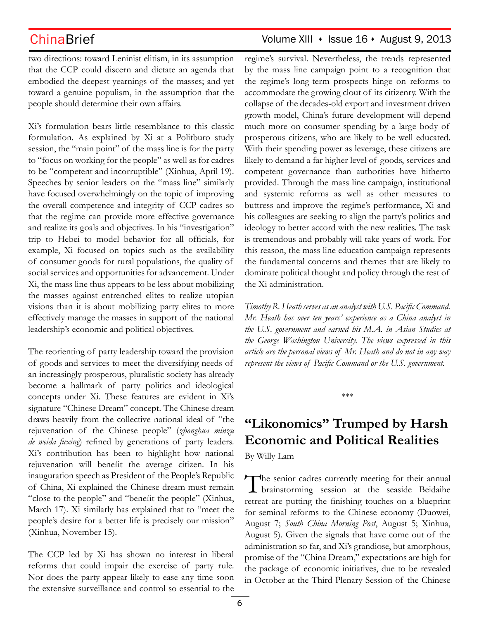## ChinaBrief Volume XIII · Issue 16 · August 9, 2013

two directions: toward Leninist elitism, in its assumption that the CCP could discern and dictate an agenda that embodied the deepest yearnings of the masses; and yet toward a genuine populism, in the assumption that the people should determine their own affairs.

Xi's formulation bears little resemblance to this classic formulation. As explained by Xi at a Politburo study session, the "main point" of the mass line is for the party to "focus on working for the people" as well as for cadres to be "competent and incorruptible" (Xinhua, April 19). Speeches by senior leaders on the "mass line" similarly have focused overwhelmingly on the topic of improving the overall competence and integrity of CCP cadres so that the regime can provide more effective governance and realize its goals and objectives. In his "investigation" trip to Hebei to model behavior for all officials, for example, Xi focused on topics such as the availability of consumer goods for rural populations, the quality of social services and opportunities for advancement. Under Xi, the mass line thus appears to be less about mobilizing the masses against entrenched elites to realize utopian visions than it is about mobilizing party elites to more effectively manage the masses in support of the national leadership's economic and political objectives.

The reorienting of party leadership toward the provision of goods and services to meet the diversifying needs of an increasingly prosperous, pluralistic society has already become a hallmark of party politics and ideological concepts under Xi. These features are evident in Xi's signature "Chinese Dream" concept. The Chinese dream draws heavily from the collective national ideal of "the rejuvenation of the Chinese people" (*zhonghua minzu de weida fuxing*) refined by generations of party leaders. Xi's contribution has been to highlight how national rejuvenation will benefit the average citizen. In his inauguration speech as President of the People's Republic of China, Xi explained the Chinese dream must remain "close to the people" and "benefit the people" (Xinhua, March 17). Xi similarly has explained that to "meet the people's desire for a better life is precisely our mission" (Xinhua, November 15).

The CCP led by Xi has shown no interest in liberal reforms that could impair the exercise of party rule. Nor does the party appear likely to ease any time soon the extensive surveillance and control so essential to the regime's survival. Nevertheless, the trends represented by the mass line campaign point to a recognition that the regime's long-term prospects hinge on reforms to accommodate the growing clout of its citizenry. With the collapse of the decades-old export and investment driven growth model, China's future development will depend much more on consumer spending by a large body of prosperous citizens, who are likely to be well educated. With their spending power as leverage, these citizens are likely to demand a far higher level of goods, services and competent governance than authorities have hitherto provided. Through the mass line campaign, institutional and systemic reforms as well as other measures to buttress and improve the regime's performance, Xi and his colleagues are seeking to align the party's politics and ideology to better accord with the new realities. The task is tremendous and probably will take years of work. For this reason, the mass line education campaign represents the fundamental concerns and themes that are likely to dominate political thought and policy through the rest of the Xi administration.

*Timothy R. Heath serves as an analyst with U.S. Pacific Command. Mr. Heath has over ten years' experience as a China analyst in the U.S. government and earned his M.A. in Asian Studies at the George Washington University. The views expressed in this article are the personal views of Mr. Heath and do not in any way represent the views of Pacific Command or the U.S. government.*

\*\*\*

# **"Likonomics" Trumped by Harsh Economic and Political Realities**

By Willy Lam

The senior cadres currently meeting for their annual brainstorming session at the seaside Beidaihe retreat are putting the finishing touches on a blueprint for seminal reforms to the Chinese economy (Duowei, August 7; *South China Morning Post*, August 5; Xinhua, August 5). Given the signals that have come out of the administration so far, and Xi's grandiose, but amorphous, promise of the "China Dream," expectations are high for the package of economic initiatives, due to be revealed in October at the Third Plenary Session of the Chinese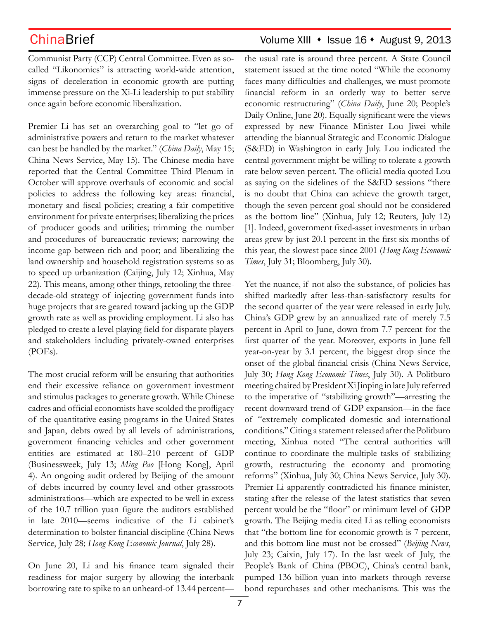Communist Party (CCP) Central Committee. Even as socalled "Likonomics" is attracting world-wide attention, signs of deceleration in economic growth are putting immense pressure on the Xi-Li leadership to put stability once again before economic liberalization.

Premier Li has set an overarching goal to "let go of administrative powers and return to the market whatever can best be handled by the market." (*China Daily*, May 15; China News Service, May 15). The Chinese media have reported that the Central Committee Third Plenum in October will approve overhauls of economic and social policies to address the following key areas: financial, monetary and fiscal policies; creating a fair competitive environment for private enterprises; liberalizing the prices of producer goods and utilities; trimming the number and procedures of bureaucratic reviews; narrowing the income gap between rich and poor; and liberalizing the land ownership and household registration systems so as to speed up urbanization (Caijing, July 12; Xinhua, May 22). This means, among other things, retooling the threedecade-old strategy of injecting government funds into huge projects that are geared toward jacking up the GDP growth rate as well as providing employment. Li also has pledged to create a level playing field for disparate players and stakeholders including privately-owned enterprises (POEs).

The most crucial reform will be ensuring that authorities end their excessive reliance on government investment and stimulus packages to generate growth. While Chinese cadres and official economists have scolded the profligacy of the quantitative easing programs in the United States and Japan, debts owed by all levels of administrations, government financing vehicles and other government entities are estimated at 180–210 percent of GDP (Businessweek, July 13; *Ming Pao* [Hong Kong], April 4). An ongoing audit ordered by Beijing of the amount of debts incurred by county-level and other grassroots administrations—which are expected to be well in excess of the 10.7 trillion yuan figure the auditors established in late 2010—seems indicative of the Li cabinet's determination to bolster financial discipline (China News Service, July 28; *Hong Kong Economic Journal*, July 28).

On June 20, Li and his finance team signaled their readiness for major surgery by allowing the interbank borrowing rate to spike to an unheard-of 13.44 percent—

## ChinaBrief ChinaBrief Volume XIII • Issue 16 • August 9, 2013

the usual rate is around three percent. A State Council statement issued at the time noted "While the economy faces many difficulties and challenges, we must promote financial reform in an orderly way to better serve economic restructuring" (*China Daily*, June 20; People's Daily Online, June 20). Equally significant were the views expressed by new Finance Minister Lou Jiwei while attending the biannual Strategic and Economic Dialogue (S&ED) in Washington in early July. Lou indicated the central government might be willing to tolerate a growth rate below seven percent. The official media quoted Lou as saying on the sidelines of the S&ED sessions "there is no doubt that China can achieve the growth target, though the seven percent goal should not be considered as the bottom line" (Xinhua, July 12; Reuters, July 12) [1]. Indeed, government fixed-asset investments in urban areas grew by just 20.1 percent in the first six months of this year, the slowest pace since 2001 (*Hong Kong Economic Times*, July 31; Bloomberg, July 30).

Yet the nuance, if not also the substance, of policies has shifted markedly after less-than-satisfactory results for the second quarter of the year were released in early July. China's GDP grew by an annualized rate of merely 7.5 percent in April to June, down from 7.7 percent for the first quarter of the year. Moreover, exports in June fell year-on-year by 3.1 percent, the biggest drop since the onset of the global financial crisis (China News Service, July 30; *Hong Kong Economic Times*, July 30). A Politburo meeting chaired by President Xi Jinping in late July referred to the imperative of "stabilizing growth"—arresting the recent downward trend of GDP expansion—in the face of "extremely complicated domestic and international conditions." Citing a statement released after the Politburo meeting, Xinhua noted "The central authorities will continue to coordinate the multiple tasks of stabilizing growth, restructuring the economy and promoting reforms" (Xinhua, July 30; China News Service, July 30). Premier Li apparently contradicted his finance minister, stating after the release of the latest statistics that seven percent would be the "floor" or minimum level of GDP growth. The Beijing media cited Li as telling economists that "the bottom line for economic growth is 7 percent, and this bottom line must not be crossed" (*Beijing News*, July 23; Caixin, July 17). In the last week of July, the People's Bank of China (PBOC), China's central bank, pumped 136 billion yuan into markets through reverse bond repurchases and other mechanisms. This was the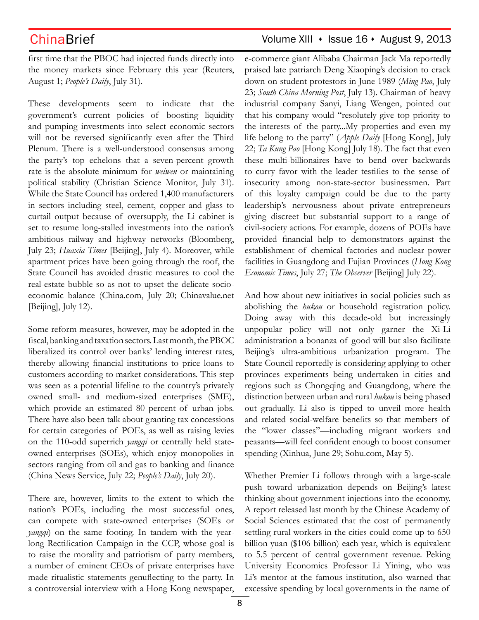### ChinaBrief Volume XIII • Issue 16 • August 9, 2013

first time that the PBOC had injected funds directly into the money markets since February this year (Reuters, August 1; *People's Daily*, July 31).

These developments seem to indicate that the government's current policies of boosting liquidity and pumping investments into select economic sectors will not be reversed significantly even after the Third Plenum. There is a well-understood consensus among the party's top echelons that a seven-percent growth rate is the absolute minimum for *weiwen* or maintaining political stability (Christian Science Monitor, July 31). While the State Council has ordered 1,400 manufacturers in sectors including steel, cement, copper and glass to curtail output because of oversupply, the Li cabinet is set to resume long-stalled investments into the nation's ambitious railway and highway networks (Bloomberg, July 23; *Huaxia Times* [Beijing], July 4). Moreover, while apartment prices have been going through the roof, the State Council has avoided drastic measures to cool the real-estate bubble so as not to upset the delicate socioeconomic balance (China.com, July 20; Chinavalue.net [Beijing], July 12).

Some reform measures, however, may be adopted in the fiscal, banking and taxation sectors. Last month, the PBOC liberalized its control over banks' lending interest rates, thereby allowing financial institutions to price loans to customers according to market considerations. This step was seen as a potential lifeline to the country's privately owned small- and medium-sized enterprises (SME), which provide an estimated 80 percent of urban jobs. There have also been talk about granting tax concessions for certain categories of POEs, as well as raising levies on the 110-odd superrich *yangqi* or centrally held stateowned enterprises (SOEs), which enjoy monopolies in sectors ranging from oil and gas to banking and finance (China News Service, July 22; *People's Daily*, July 20).

There are, however, limits to the extent to which the nation's POEs, including the most successful ones, can compete with state-owned enterprises (SOEs or *yangqi*) on the same footing. In tandem with the yearlong Rectification Campaign in the CCP, whose goal is to raise the morality and patriotism of party members, a number of eminent CEOs of private enterprises have made ritualistic statements genuflecting to the party. In a controversial interview with a Hong Kong newspaper, e-commerce giant Alibaba Chairman Jack Ma reportedly praised late patriarch Deng Xiaoping's decision to crack down on student protestors in June 1989 (*Ming Pao*, July 23; *South China Morning Post*, July 13). Chairman of heavy industrial company Sanyi, Liang Wengen, pointed out that his company would "resolutely give top priority to the interests of the party...My properties and even my life belong to the party" (*Apple Daily* [Hong Kong], July 22; *Ta Kung Pao* [Hong Kong] July 18). The fact that even these multi-billionaires have to bend over backwards to curry favor with the leader testifies to the sense of insecurity among non-state-sector businessmen. Part of this loyalty campaign could be due to the party leadership's nervousness about private entrepreneurs giving discreet but substantial support to a range of civil-society actions. For example, dozens of POEs have provided financial help to demonstrators against the establishment of chemical factories and nuclear power facilities in Guangdong and Fujian Provinces (*Hong Kong Economic Times*, July 27; *The Observer* [Beijing] July 22).

And how about new initiatives in social policies such as abolishing the *hukou* or household registration policy. Doing away with this decade-old but increasingly unpopular policy will not only garner the Xi-Li administration a bonanza of good will but also facilitate Beijing's ultra-ambitious urbanization program. The State Council reportedly is considering applying to other provinces experiments being undertaken in cities and regions such as Chongqing and Guangdong, where the distinction between urban and rural *hukou* is being phased out gradually. Li also is tipped to unveil more health and related social-welfare benefits so that members of the "lower classes"—including migrant workers and peasants—will feel confident enough to boost consumer spending (Xinhua, June 29; Sohu.com, May 5).

Whether Premier Li follows through with a large-scale push toward urbanization depends on Beijing's latest thinking about government injections into the economy. A report released last month by the Chinese Academy of Social Sciences estimated that the cost of permanently settling rural workers in the cities could come up to 650 billion yuan (\$106 billion) each year, which is equivalent to 5.5 percent of central government revenue. Peking University Economics Professor Li Yining, who was Li's mentor at the famous institution, also warned that excessive spending by local governments in the name of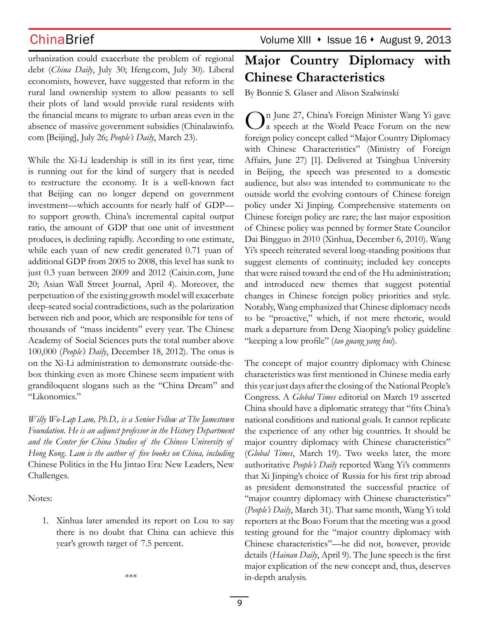urbanization could exacerbate the problem of regional debt (*China Daily*, July 30; Ifeng.com, July 30). Liberal economists, however, have suggested that reform in the rural land ownership system to allow peasants to sell their plots of land would provide rural residents with the financial means to migrate to urban areas even in the absence of massive government subsidies (Chinalawinfo. com [Beijing], July 26; *People's Daily*, March 23).

While the Xi-Li leadership is still in its first year, time is running out for the kind of surgery that is needed to restructure the economy. It is a well-known fact that Beijing can no longer depend on government investment—which accounts for nearly half of GDP to support growth. China's incremental capital output ratio, the amount of GDP that one unit of investment produces, is declining rapidly. According to one estimate, while each yuan of new credit generated 0.71 yuan of additional GDP from 2005 to 2008, this level has sunk to just 0.3 yuan between 2009 and 2012 (Caixin.com, June 20; Asian Wall Street Journal, April 4). Moreover, the perpetuation of the existing growth model will exacerbate deep-seated social contradictions, such as the polarization between rich and poor, which are responsible for tens of thousands of "mass incidents" every year. The Chinese Academy of Social Sciences puts the total number above 100,000 (*People's Daily*, December 18, 2012). The onus is on the Xi-Li administration to demonstrate outside-thebox thinking even as more Chinese seem impatient with grandiloquent slogans such as the "China Dream" and "Likonomics."

*Willy Wo-Lap Lam, Ph.D., is a Senior Fellow at The Jamestown Foundation. He is an adjunct professor in the History Department and the Center for China Studies of the Chinese University of Hong Kong. Lam is the author of five books on China, including*  Chinese Politics in the Hu Jintao Era: New Leaders, New Challenges*.* 

Notes:

1. Xinhua later amended its report on Lou to say there is no doubt that China can achieve this year's growth target of 7.5 percent.

\*\*\*

## ChinaBrief Volume XIII • Issue 16 • August 9, 2013

# **Major Country Diplomacy with Chinese Characteristics**

By Bonnie S. Glaser and Alison Szalwinski

On June 27, China's Foreign Minister Wang Yi gave<br>
a speech at the World Peace Forum on the new foreign policy concept called "Major Country Diplomacy with Chinese Characteristics" (Ministry of Foreign Affairs, June 27) [1]. Delivered at Tsinghua University in Beijing, the speech was presented to a domestic audience, but also was intended to communicate to the outside world the evolving contours of Chinese foreign policy under Xi Jinping. Comprehensive statements on Chinese foreign policy are rare; the last major exposition of Chinese policy was penned by former State Councilor Dai Bingguo in 2010 (Xinhua, December 6, 2010). Wang Yi's speech reiterated several long-standing positions that suggest elements of continuity; included key concepts that were raised toward the end of the Hu administration; and introduced new themes that suggest potential changes in Chinese foreign policy priorities and style. Notably, Wang emphasized that Chinese diplomacy needs to be "proactive," which, if not mere rhetoric, would mark a departure from Deng Xiaoping's policy guideline "keeping a low profile" (*tao guang yang hui*).

The concept of major country diplomacy with Chinese characteristics was first mentioned in Chinese media early this year just days after the closing of the National People's Congress. A *Global Times* editorial on March 19 asserted China should have a diplomatic strategy that "fits China's national conditions and national goals. It cannot replicate the experience of any other big countries. It should be major country diplomacy with Chinese characteristics" (*Global Times*, March 19). Two weeks later, the more authoritative *People's Daily* reported Wang Yi's comments that Xi Jinping's choice of Russia for his first trip abroad as president demonstrated the successful practice of "major country diplomacy with Chinese characteristics" (*People's Daily*, March 31). That same month, Wang Yi told reporters at the Boao Forum that the meeting was a good testing ground for the "major country diplomacy with Chinese characteristics"—he did not, however, provide details (*Hainan Daily*, April 9). The June speech is the first major explication of the new concept and, thus, deserves in-depth analysis.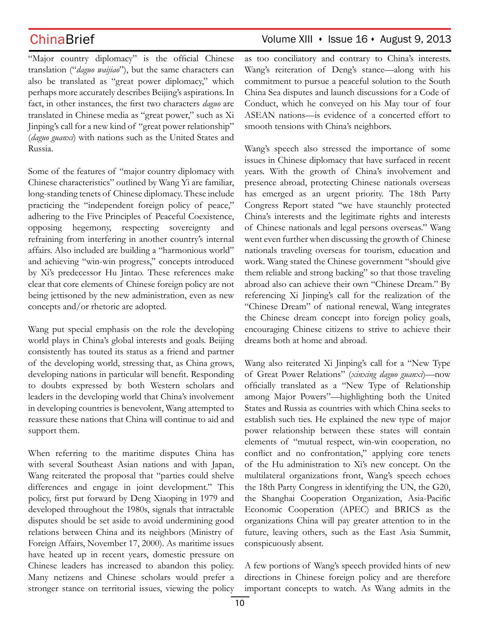"Major country diplomacy" is the official Chinese translation ("*daguo waijiao*"), but the same characters can also be translated as "great power diplomacy," which perhaps more accurately describes Beijing's aspirations. In fact, in other instances, the first two characters *daguo* are translated in Chinese media as "great power," such as Xi Jinping's call for a new kind of "great power relationship" (*daguo guanxi*) with nations such as the United States and Russia. ASEAN nations—is evidence of a concerted effort to

Some of the features of "major country diplomacy with Chinese characteristics" outlined by Wang Yi are familiar, long-standing tenets of Chinese diplomacy. These include practicing the "independent foreign policy of peace," adhering to the Five Principles of Peaceful Coexistence, opposing hegemony, respecting sovereignty and refraining from interfering in another country's internal affairs. Also included are building a "harmonious world" and achieving "win-win progress," concepts introduced by Xi's predecessor Hu Jintao. These references make clear that core elements of Chinese foreign policy are not being jettisoned by the new administration, even as new concepts and/or rhetoric are adopted.

Wang put special emphasis on the role the developing world plays in China's global interests and goals. Beijing consistently has touted its status as a friend and partner of the developing world, stressing that, as China grows, developing nations in particular will benefit. Responding to doubts expressed by both Western scholars and leaders in the developing world that China's involvement in developing countries is benevolent, Wang attempted to reassure these nations that China will continue to aid and support them.

When referring to the maritime disputes China has with several Southeast Asian nations and with Japan, Wang reiterated the proposal that "parties could shelve differences and engage in joint development." This policy, first put forward by Deng Xiaoping in 1979 and developed throughout the 1980s, signals that intractable disputes should be set aside to avoid undermining good relations between China and its neighbors (Ministry of Foreign Affairs, November 17, 2000). As maritime issues have heated up in recent years, domestic pressure on Chinese leaders has increased to abandon this policy. Many netizens and Chinese scholars would prefer a stronger stance on territorial issues, viewing the policy

### as too conciliatory and contrary to China's interests. Wang's reiteration of Deng's stance—along with his commitment to pursue a peaceful solution to the South China Sea disputes and launch discussions for a Code of Conduct, which he conveyed on his May tour of four

smooth tensions with China's neighbors. Wang's speech also stressed the importance of some issues in Chinese diplomacy that have surfaced in recent years. With the growth of China's involvement and presence abroad, protecting Chinese nationals overseas has emerged as an urgent priority. The 18th Party Congress Report stated "we have staunchly protected China's interests and the legitimate rights and interests of Chinese nationals and legal persons overseas." Wang went even further when discussing the growth of Chinese nationals traveling overseas for tourism, education and work. Wang stated the Chinese government "should give them reliable and strong backing" so that those traveling abroad also can achieve their own "Chinese Dream." By referencing Xi Jinping's call for the realization of the "Chinese Dream" of national renewal, Wang integrates the Chinese dream concept into foreign policy goals, encouraging Chinese citizens to strive to achieve their dreams both at home and abroad.

Wang also reiterated Xi Jinping's call for a "New Type of Great Power Relations" (*xinxing daguo guanxi*)—now officially translated as a "New Type of Relationship among Major Powers"—highlighting both the United States and Russia as countries with which China seeks to establish such ties. He explained the new type of major power relationship between these states will contain elements of "mutual respect, win-win cooperation, no conflict and no confrontation," applying core tenets of the Hu administration to Xi's new concept. On the multilateral organizations front, Wang's speech echoes the 18th Party Congress in identifying the UN, the G20, the Shanghai Cooperation Organization, Asia-Pacific Economic Cooperation (APEC) and BRICS as the organizations China will pay greater attention to in the future, leaving others, such as the East Asia Summit, conspicuously absent.

A few portions of Wang's speech provided hints of new directions in Chinese foreign policy and are therefore important concepts to watch. As Wang admits in the

## ChinaBrief Volume XIII • Issue 16 • August 9, 2013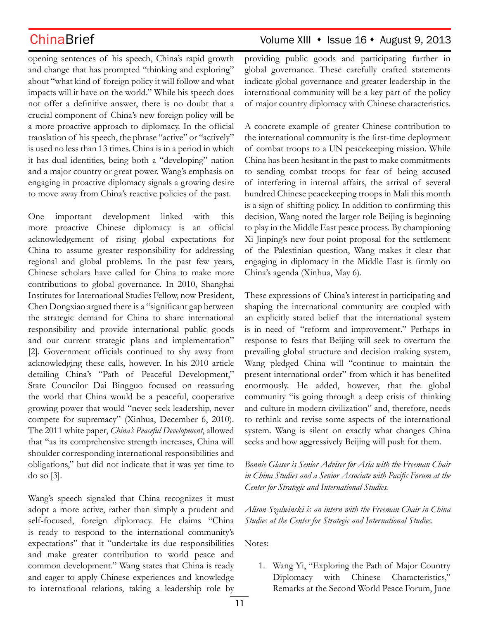opening sentences of his speech, China's rapid growth and change that has prompted "thinking and exploring" about "what kind of foreign policy it will follow and what impacts will it have on the world." While his speech does not offer a definitive answer, there is no doubt that a crucial component of China's new foreign policy will be a more proactive approach to diplomacy. In the official translation of his speech, the phrase "active" or "actively" is used no less than 13 times. China is in a period in which it has dual identities, being both a "developing" nation and a major country or great power. Wang's emphasis on engaging in proactive diplomacy signals a growing desire to move away from China's reactive policies of the past.

One important development linked with this more proactive Chinese diplomacy is an official acknowledgement of rising global expectations for China to assume greater responsibility for addressing regional and global problems. In the past few years, Chinese scholars have called for China to make more contributions to global governance. In 2010, Shanghai Institutes for International Studies Fellow, now President, Chen Dongxiao argued there is a "significant gap between the strategic demand for China to share international responsibility and provide international public goods and our current strategic plans and implementation" [2]. Government officials continued to shy away from acknowledging these calls, however. In his 2010 article detailing China's "Path of Peaceful Development," State Councilor Dai Bingguo focused on reassuring the world that China would be a peaceful, cooperative growing power that would "never seek leadership, never compete for supremacy" (Xinhua, December 6, 2010). The 2011 white paper, *China's Peaceful Development*, allowed that "as its comprehensive strength increases, China will shoulder corresponding international responsibilities and obligations," but did not indicate that it was yet time to do so [3].

Wang's speech signaled that China recognizes it must adopt a more active, rather than simply a prudent and self-focused, foreign diplomacy. He claims "China is ready to respond to the international community's expectations" that it "undertake its due responsibilities and make greater contribution to world peace and common development." Wang states that China is ready and eager to apply Chinese experiences and knowledge to international relations, taking a leadership role by

## ChinaBrief Volume XIII • Issue 16 • August 9, 2013

providing public goods and participating further in global governance. These carefully crafted statements indicate global governance and greater leadership in the international community will be a key part of the policy of major country diplomacy with Chinese characteristics.

A concrete example of greater Chinese contribution to the international community is the first-time deployment of combat troops to a UN peacekeeping mission. While China has been hesitant in the past to make commitments to sending combat troops for fear of being accused of interfering in internal affairs, the arrival of several hundred Chinese peacekeeping troops in Mali this month is a sign of shifting policy. In addition to confirming this decision, Wang noted the larger role Beijing is beginning to play in the Middle East peace process. By championing Xi Jinping's new four-point proposal for the settlement of the Palestinian question, Wang makes it clear that engaging in diplomacy in the Middle East is firmly on China's agenda (Xinhua, May 6).

These expressions of China's interest in participating and shaping the international community are coupled with an explicitly stated belief that the international system is in need of "reform and improvement." Perhaps in response to fears that Beijing will seek to overturn the prevailing global structure and decision making system, Wang pledged China will "continue to maintain the present international order" from which it has benefited enormously. He added, however, that the global community "is going through a deep crisis of thinking and culture in modern civilization" and, therefore, needs to rethink and revise some aspects of the international system. Wang is silent on exactly what changes China seeks and how aggressively Beijing will push for them.

*Bonnie Glaser is Senior Adviser for Asia with the Freeman Chair in China Studies and a Senior Associate with Pacific Forum at the Center for Strategic and International Studies.*

*Alison Szalwinski is an intern with the Freeman Chair in China Studies at the Center for Strategic and International Studies.* 

Notes:

1. Wang Yi, "Exploring the Path of Major Country Diplomacy with Chinese Characteristics," Remarks at the Second World Peace Forum, June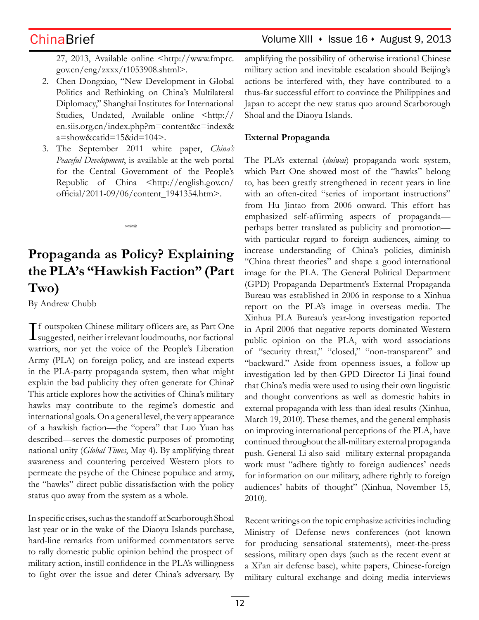ChinaBrief Volume XIII • Issue 16 • August 9, 2013

27, 2013, Available online <http://www.fmprc. gov.cn/eng/zxxx/t1053908.shtml>.

- 2. Chen Dongxiao, "New Development in Global Politics and Rethinking on China's Multilateral Diplomacy," Shanghai Institutes for International Studies, Undated, Available online <http:// en.siis.org.cn/index.php?m=content&c=index& a=show&catid=15&id=104>.
- 3. The September 2011 white paper, *China's Peaceful Development*, is available at the web portal for the Central Government of the People's Republic of China <http://english.gov.cn/ official/2011-09/06/content\_1941354.htm>.

\*\*\*

# **Propaganda as Policy? Explaining the PLA's "Hawkish Faction" (Part Two)**

By Andrew Chubb

I f outspoken Chinese military officers are, as Part One  $\perp$  suggested, neither irrelevant loudmouths, nor factional warriors, nor yet the voice of the People's Liberation Army (PLA) on foreign policy, and are instead experts in the PLA-party propaganda system, then what might explain the bad publicity they often generate for China? This article explores how the activities of China's military hawks may contribute to the regime's domestic and international goals. On a general level, the very appearance of a hawkish faction—the "opera" that Luo Yuan has described—serves the domestic purposes of promoting national unity (*Global Times*, May 4). By amplifying threat awareness and countering perceived Western plots to permeate the psyche of the Chinese populace and army, the "hawks" direct public dissatisfaction with the policy status quo away from the system as a whole.

In specific crises, such as the standoff at Scarborough Shoal last year or in the wake of the Diaoyu Islands purchase, hard-line remarks from uniformed commentators serve to rally domestic public opinion behind the prospect of military action, instill confidence in the PLA's willingness to fight over the issue and deter China's adversary. By amplifying the possibility of otherwise irrational Chinese military action and inevitable escalation should Beijing's actions be interfered with, they have contributed to a thus-far successful effort to convince the Philippines and Japan to accept the new status quo around Scarborough Shoal and the Diaoyu Islands.

### **External Propaganda**

The PLA's external (*duiwai*) propaganda work system, which Part One showed most of the "hawks" belong to, has been greatly strengthened in recent years in line with an often-cited "series of important instructions" from Hu Jintao from 2006 onward. This effort has emphasized self-affirming aspects of propaganda perhaps better translated as publicity and promotion with particular regard to foreign audiences, aiming to increase understanding of China's policies, diminish "China threat theories" and shape a good international image for the PLA. The General Political Department (GPD) Propaganda Department's External Propaganda Bureau was established in 2006 in response to a Xinhua report on the PLA's image in overseas media. The Xinhua PLA Bureau's year-long investigation reported in April 2006 that negative reports dominated Western public opinion on the PLA, with word associations of "security threat," "closed," "non-transparent" and "backward." Aside from openness issues, a follow-up investigation led by then-GPD Director Li Jinai found that China's media were used to using their own linguistic and thought conventions as well as domestic habits in external propaganda with less-than-ideal results (Xinhua, March 19, 2010). These themes, and the general emphasis on improving international perceptions of the PLA, have continued throughout the all-military external propaganda push. General Li also said military external propaganda work must "adhere tightly to foreign audiences' needs for information on our military, adhere tightly to foreign audiences' habits of thought" (Xinhua, November 15, 2010).

Recent writings on the topic emphasize activities including Ministry of Defense news conferences (not known for producing sensational statements), meet-the-press sessions, military open days (such as the recent event at a Xi'an air defense base), white papers, Chinese-foreign military cultural exchange and doing media interviews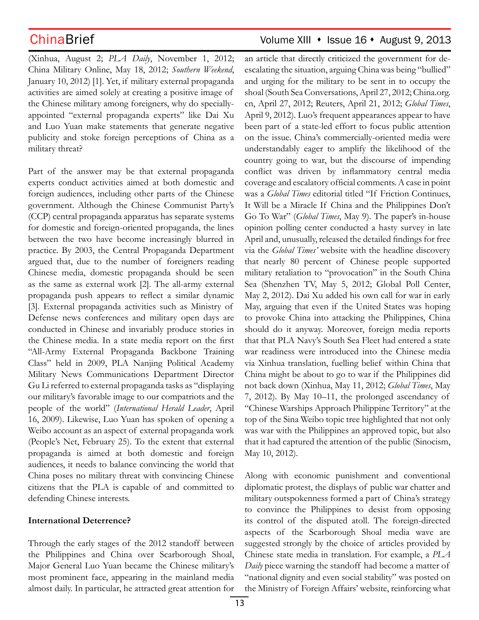(Xinhua, August 2; *PLA Daily*, November 1, 2012; China Military Online, May 18, 2012; *Southern Weekend*, January 10, 2012) [1]. Yet, if military external propaganda activities are aimed solely at creating a positive image of the Chinese military among foreigners, why do speciallyappointed "external propaganda experts" like Dai Xu and Luo Yuan make statements that generate negative publicity and stoke foreign perceptions of China as a military threat?

Part of the answer may be that external propaganda experts conduct activities aimed at both domestic and foreign audiences, including other parts of the Chinese government. Although the Chinese Communist Party's (CCP) central propaganda apparatus has separate systems for domestic and foreign-oriented propaganda, the lines between the two have become increasingly blurred in practice. By 2003, the Central Propaganda Department argued that, due to the number of foreigners reading Chinese media, domestic propaganda should be seen as the same as external work [2]. The all-army external propaganda push appears to reflect a similar dynamic [3]. External propaganda activities such as Ministry of Defense news conferences and military open days are conducted in Chinese and invariably produce stories in the Chinese media. In a state media report on the first "All-Army External Propaganda Backbone Training Class" held in 2009, PLA Nanjing Political Academy Military News Communications Department Director Gu Li referred to external propaganda tasks as "displaying our military's favorable image to our compatriots and the people of the world" (*International Herald Leader*, April 16, 2009). Likewise, Luo Yuan has spoken of opening a Weibo account as an aspect of external propaganda work (People's Net, February 25). To the extent that external propaganda is aimed at both domestic and foreign audiences, it needs to balance convincing the world that China poses no military threat with convincing Chinese citizens that the PLA is capable of and committed to defending Chinese interests.

### **International Deterrence?**

Through the early stages of the 2012 standoff between the Philippines and China over Scarborough Shoal, Major General Luo Yuan became the Chinese military's most prominent face, appearing in the mainland media almost daily. In particular, he attracted great attention for

## ChinaBrief Volume XIII • Issue 16 • August 9, 2013

an article that directly criticized the government for deescalating the situation, arguing China was being "bullied" and urging for the military to be sent in to occupy the shoal (South Sea Conversations, April 27, 2012; China.org. cn, April 27, 2012; Reuters, April 21, 2012; *Global Times*, April 9, 2012). Luo's frequent appearances appear to have been part of a state-led effort to focus public attention on the issue. China's commercially-oriented media were understandably eager to amplify the likelihood of the country going to war, but the discourse of impending conflict was driven by inflammatory central media coverage and escalatory official comments. A case in point was a *Global Times* editorial titled "If Friction Continues, It Will be a Miracle If China and the Philippines Don't Go To War" (*Global Times*, May 9). The paper's in-house opinion polling center conducted a hasty survey in late April and, unusually, released the detailed findings for free via the *Global Times'* website with the headline discovery that nearly 80 percent of Chinese people supported military retaliation to "provocation" in the South China Sea (Shenzhen TV, May 5, 2012; Global Poll Center, May 2, 2012). Dai Xu added his own call for war in early May, arguing that even if the United States was hoping to provoke China into attacking the Philippines, China should do it anyway. Moreover, foreign media reports that that PLA Navy's South Sea Fleet had entered a state war readiness were introduced into the Chinese media via Xinhua translation, fuelling belief within China that China might be about to go to war if the Philippines did not back down (Xinhua, May 11, 2012; *Global Times*, May 7, 2012). By May 10–11, the prolonged ascendancy of "Chinese Warships Approach Philippine Territory" at the top of the Sina Weibo topic tree highlighted that not only was war with the Philippines an approved topic, but also that it had captured the attention of the public (Sinocism, May 10, 2012).

Along with economic punishment and conventional diplomatic protest, the displays of public war chatter and military outspokenness formed a part of China's strategy to convince the Philippines to desist from opposing its control of the disputed atoll. The foreign-directed aspects of the Scarborough Shoal media wave are suggested strongly by the choice of articles provided by Chinese state media in translation. For example, a *PLA Daily* piece warning the standoff had become a matter of "national dignity and even social stability" was posted on the Ministry of Foreign Affairs' website, reinforcing what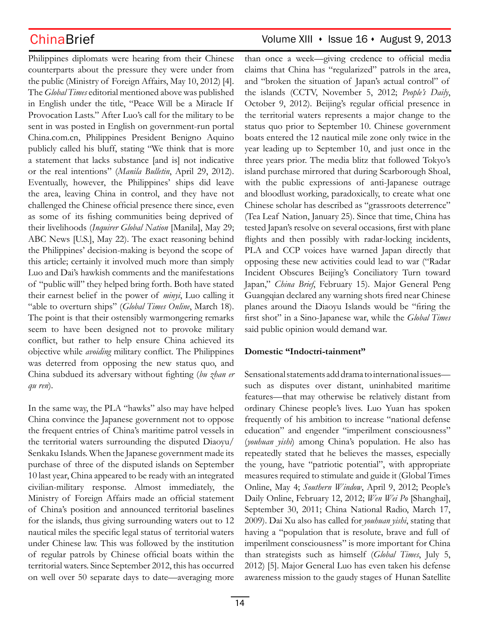Philippines diplomats were hearing from their Chinese counterparts about the pressure they were under from the public (Ministry of Foreign Affairs, May 10, 2012) [4]. The *Global Times* editorial mentioned above was published in English under the title, "Peace Will be a Miracle If Provocation Lasts." After Luo's call for the military to be sent in was posted in English on government-run portal China.com.cn, Philippines President Benigno Aquino publicly called his bluff, stating "We think that is more a statement that lacks substance [and is] not indicative or the real intentions" (*Manila Bulletin*, April 29, 2012). Eventually, however, the Philippines' ships did leave the area, leaving China in control, and they have not challenged the Chinese official presence there since, even as some of its fishing communities being deprived of their livelihoods (*Inquirer Global Nation* [Manila], May 29; ABC News [U.S.], May 22). The exact reasoning behind the Philippines' decision-making is beyond the scope of this article; certainly it involved much more than simply Luo and Dai's hawkish comments and the manifestations of "public will" they helped bring forth. Both have stated their earnest belief in the power of *minyi*, Luo calling it "able to overturn ships" (*Global Times Online*, March 18). The point is that their ostensibly warmongering remarks seem to have been designed not to provoke military conflict, but rather to help ensure China achieved its objective while *avoiding* military conflict. The Philippines was deterred from opposing the new status quo, and China subdued its adversary without fighting (*bu zhan er qu ren*).

In the same way, the PLA "hawks" also may have helped China convince the Japanese government not to oppose the frequent entries of China's maritime patrol vessels in the territorial waters surrounding the disputed Diaoyu/ Senkaku Islands. When the Japanese government made its purchase of three of the disputed islands on September 10 last year, China appeared to be ready with an integrated civilian-military response. Almost immediately, the Ministry of Foreign Affairs made an official statement of China's position and announced territorial baselines for the islands, thus giving surrounding waters out to 12 nautical miles the specific legal status of territorial waters under Chinese law. This was followed by the institution of regular patrols by Chinese official boats within the territorial waters. Since September 2012, this has occurred on well over 50 separate days to date—averaging more

## ChinaBrief Volume XIII • Issue 16 • August 9, 2013

than once a week—giving credence to official media claims that China has "regularized" patrols in the area, and "broken the situation of Japan's actual control" of the islands (CCTV, November 5, 2012; *People's Daily*, October 9, 2012). Beijing's regular official presence in the territorial waters represents a major change to the status quo prior to September 10. Chinese government boats entered the 12 nautical mile zone only twice in the year leading up to September 10, and just once in the three years prior. The media blitz that followed Tokyo's island purchase mirrored that during Scarborough Shoal, with the public expressions of anti-Japanese outrage and bloodlust working, paradoxically, to create what one Chinese scholar has described as "grassroots deterrence" (Tea Leaf Nation, January 25). Since that time, China has tested Japan's resolve on several occasions, first with plane flights and then possibly with radar-locking incidents, PLA and CCP voices have warned Japan directly that opposing these new activities could lead to war ("Radar Incident Obscures Beijing's Conciliatory Turn toward Japan," *China Brief*, February 15). Major General Peng Guangqian declared any warning shots fired near Chinese planes around the Diaoyu Islands would be "firing the first shot" in a Sino-Japanese war, while the *Global Times* said public opinion would demand war.

### **Domestic "Indoctri-tainment"**

Sensational statements add drama to international issues such as disputes over distant, uninhabited maritime features—that may otherwise be relatively distant from ordinary Chinese people's lives. Luo Yuan has spoken frequently of his ambition to increase "national defense education" and engender "imperilment consciousness" (*youhuan yishi*) among China's population. He also has repeatedly stated that he believes the masses, especially the young, have "patriotic potential", with appropriate measures required to stimulate and guide it (Global Times Online, May 4; *Southern Window*, April 9, 2012; People's Daily Online, February 12, 2012; *Wen Wei Po* [Shanghai], September 30, 2011; China National Radio, March 17, 2009). Dai Xu also has called for *youhuan yishi*, stating that having a "population that is resolute, brave and full of imperilment consciousness" is more important for China than strategists such as himself (*Global Times*, July 5, 2012) [5]. Major General Luo has even taken his defense awareness mission to the gaudy stages of Hunan Satellite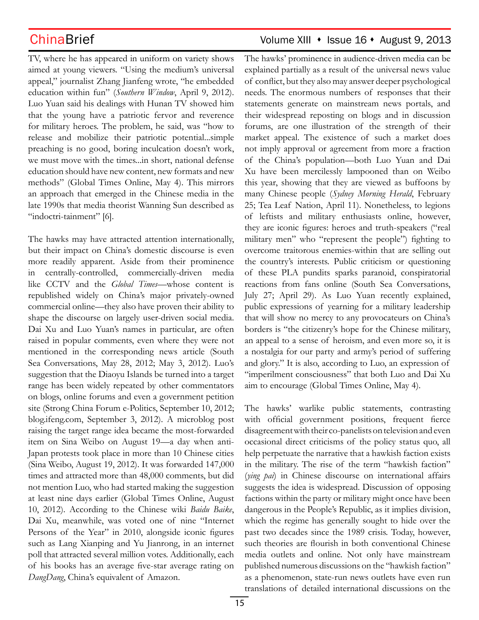TV, where he has appeared in uniform on variety shows aimed at young viewers. "Using the medium's universal appeal," journalist Zhang Jianfeng wrote, "he embedded education within fun" (*Southern Window*, April 9, 2012). Luo Yuan said his dealings with Hunan TV showed him that the young have a patriotic fervor and reverence for military heroes. The problem, he said, was "how to release and mobilize their patriotic potential...simple preaching is no good, boring inculcation doesn't work, we must move with the times...in short, national defense education should have new content, new formats and new methods" (Global Times Online, May 4). This mirrors an approach that emerged in the Chinese media in the late 1990s that media theorist Wanning Sun described as "indoctri-tainment" [6].

The hawks may have attracted attention internationally, but their impact on China's domestic discourse is even more readily apparent. Aside from their prominence in centrally-controlled, commercially-driven media like CCTV and the *Global Times*—whose content is republished widely on China's major privately-owned commercial online—they also have proven their ability to shape the discourse on largely user-driven social media. Dai Xu and Luo Yuan's names in particular, are often raised in popular comments, even where they were not mentioned in the corresponding news article (South Sea Conversations, May 28, 2012; May 3, 2012). Luo's suggestion that the Diaoyu Islands be turned into a target range has been widely repeated by other commentators on blogs, online forums and even a government petition site (Strong China Forum e-Politics, September 10, 2012; blog.ifeng.com, September 3, 2012). A microblog post raising the target range idea became the most-forwarded item on Sina Weibo on August 19—a day when anti-Japan protests took place in more than 10 Chinese cities (Sina Weibo, August 19, 2012). It was forwarded 147,000 times and attracted more than 48,000 comments, but did not mention Luo, who had started making the suggestion at least nine days earlier (Global Times Online, August 10, 2012). According to the Chinese wiki *Baidu Baike*, Dai Xu, meanwhile, was voted one of nine "Internet Persons of the Year" in 2010, alongside iconic figures such as Lang Xianping and Yu Jianrong, in an internet poll that attracted several million votes. Additionally, each of his books has an average five-star average rating on *DangDang*, China's equivalent of Amazon.

## ChinaBrief Volume XIII • Issue 16 • August 9, 2013

The hawks' prominence in audience-driven media can be explained partially as a result of the universal news value of conflict, but they also may answer deeper psychological needs. The enormous numbers of responses that their statements generate on mainstream news portals, and their widespread reposting on blogs and in discussion forums, are one illustration of the strength of their market appeal. The existence of such a market does not imply approval or agreement from more a fraction of the China's population—both Luo Yuan and Dai Xu have been mercilessly lampooned than on Weibo this year, showing that they are viewed as buffoons by many Chinese people (*Sydney Morning Herald*, February 25; Tea Leaf Nation, April 11). Nonetheless, to legions of leftists and military enthusiasts online, however, they are iconic figures: heroes and truth-speakers ("real military men" who "represent the people") fighting to overcome traitorous enemies-within that are selling out the country's interests. Public criticism or questioning of these PLA pundits sparks paranoid, conspiratorial reactions from fans online (South Sea Conversations, July 27; April 29). As Luo Yuan recently explained, public expressions of yearning for a military leadership that will show no mercy to any provocateurs on China's borders is "the citizenry's hope for the Chinese military, an appeal to a sense of heroism, and even more so, it is a nostalgia for our party and army's period of suffering and glory." It is also, according to Luo, an expression of "imperilment consciousness" that both Luo and Dai Xu aim to encourage (Global Times Online, May 4).

The hawks' warlike public statements, contrasting with official government positions, frequent fierce disagreement with their co-panelists on television and even occasional direct criticisms of the policy status quo, all help perpetuate the narrative that a hawkish faction exists in the military. The rise of the term "hawkish faction" (*ying pai*) in Chinese discourse on international affairs suggests the idea is widespread. Discussion of opposing factions within the party or military might once have been dangerous in the People's Republic, as it implies division, which the regime has generally sought to hide over the past two decades since the 1989 crisis. Today, however, such theories are flourish in both conventional Chinese media outlets and online. Not only have mainstream published numerous discussions on the "hawkish faction" as a phenomenon, state-run news outlets have even run translations of detailed international discussions on the